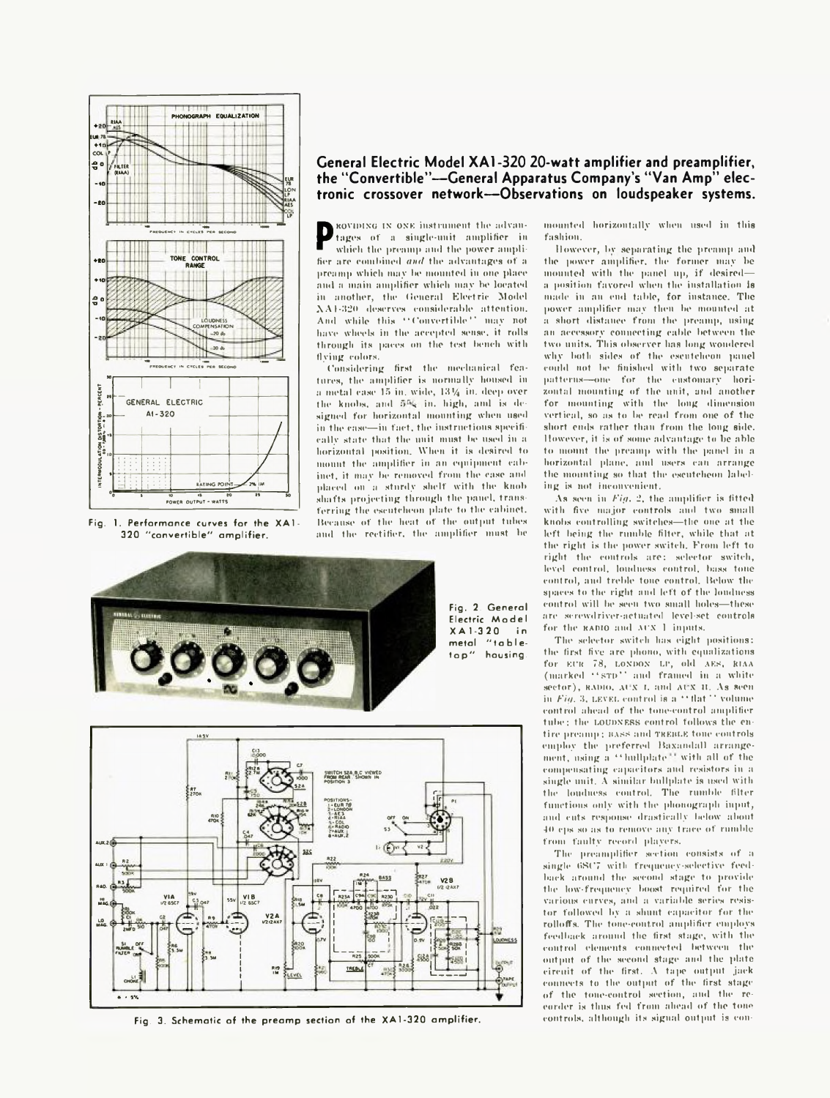

Fig. 1. Performance curves for the XA1- 320 "convertible" amplifier.

## **General Electric Model XA1-320 20-watt amplifier and preamplifier, the "Convertible"— General Apparatus Company's "Van Amp" electronic crossover network— Observations on loudspeaker systems.**

**P** roviding in the advan-<br> **i** which the presump and the power amplifier in<br>
the arc combined and the advantages of a which the preamp and the power amplifier are combined *ami* the advantages of a preamp which may he mounted in one place and a main amplifier which may be located in another, the General Electric Model XA1-320 deserves considerable attention. And while this " Convertible" may not have wheels in the accepted sense, it rolls through its paces on the test bench with flying colors,

('onsidering first the mechanical features, the amplifier is normally housed in a metal case  $15$  in, wide,  $13\frac{1}{4}$  in, deep over the knobs, and 5% in. high, aml is designed for horizontal mounting when used in the case—in fact, the instructions specifically state that the unit must be used in a horizontal position. When it is desired to mount the simplifier in an equipment cabinet, it may be removed from the case and placed on a sturdy shelf with the knob shafts projecting through the panel, transferring the escutcheon plate to the cabinet, because of the heat of the output tubes and the rectifier, the amplifier must be



Fig. 2. General Electric Model<br>XA1-320 in  $X A 1 - 3 20$ metal "tabletop" housing.



Fig. 3. Schematic of the preamp section of the XA1-320 amplifier.

mounted horizontally when used in this fashion.

However, bv separating the preamp and the power amplifier, the former may be mounted with the panel up, if desired a position favored when the installation is made in an end table, for instance. The power amplifier may then be mounted at a short distance from the preamp, using an accessory connecting cable between the two units. This observer lias long wondered why both sides of the escutcheon panel could not be finished with two separate patterns—one for the customary horizontal mounting of the unit, and another for mounting with the long dimension vertical, so as to be read from one of the short ends rather than from the long side. However, it is of some advantage to be able to mount the preamp with the panel in a horizontal plane, aml users can arrange the mounting so that the escutcheon labeling is not inconvenient.

As seen in *Fig. 2*, the amplifier is fitted with five major controls and two small knobs controlling switches—tlie one at the left being the rumble filter, while that at the right is the power switch. From left to right the controls are: selector switch, level control, loudness control, bass tone control, and treble tone control. Below the spaces to the right and left of the loudness control will be seen two small holes—these are screwdriver-actuated level-set controls for the **RADIO** and **ATX 1** inputs.

The selector switch has eight positions: the first five are phono, with equalizations for **Kt'K** 78, **LONDON U\*,** old **AES, JUAA** (marked **" sti>"** and framed in a white sector), RADIO, AUX I, and AUX II. As seen in *Fig.* 3, LEVEL control is a " flat " volume control ahead of the tone-control amplifier tube; the LOUDNESS control follows the entire preamp: **bass** and **treble** tone controls employ the preferred Baxandall arrangement, using a "hullplate" with all of the compensating capacitors and resistors in a single unit. A similar hnllplate is used with the loudness control. The rumble filter functions only with the phonograph input, and cuts response drastically below about 4 0 eps so as to remove any trace of rumble from faulty record players.

The preamplifier section consists of a single  $6SCT$  with frequency-selective feedback around the second stage to provide the low-frequency boost required for the various curves, and a variable series resistor followed by a shunt capacitor for the rolloffs. The tone-control amplifier employs feedback around the first stage, with the control elements connected between the output of the second stage and the plate circuit of the first. A tape output jack connects to the output of the first stage of the tone-control section, and the recorder is thus fed from ahead of the tone controls, although its signal output is con